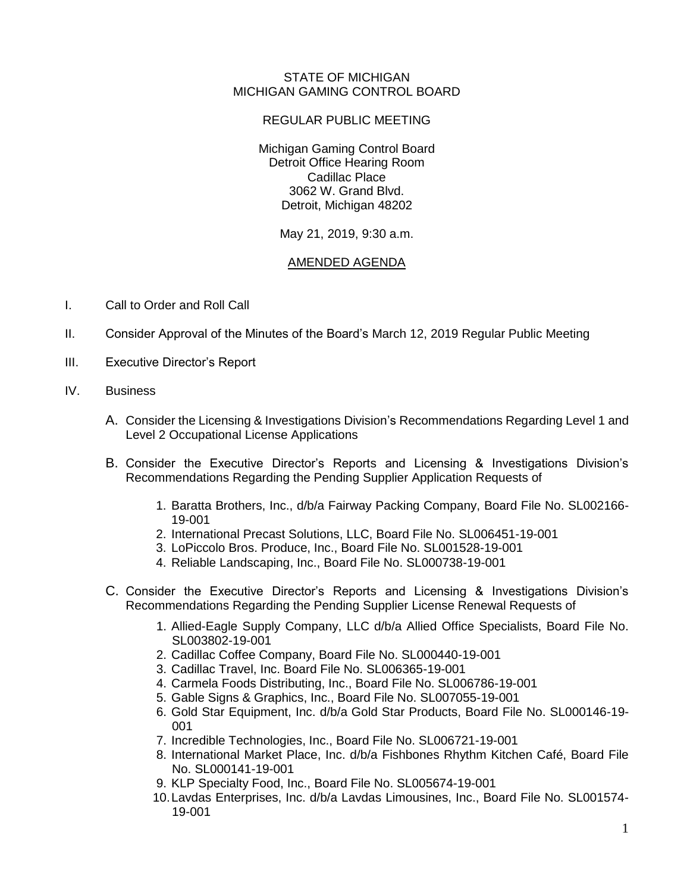## STATE OF MICHIGAN MICHIGAN GAMING CONTROL BOARD

## REGULAR PUBLIC MEETING

Michigan Gaming Control Board Detroit Office Hearing Room Cadillac Place 3062 W. Grand Blvd. Detroit, Michigan 48202

May 21, 2019, 9:30 a.m.

## AMENDED AGENDA

- I. Call to Order and Roll Call
- II. Consider Approval of the Minutes of the Board's March 12, 2019 Regular Public Meeting
- III. Executive Director's Report
- IV. Business
	- A. Consider the Licensing & Investigations Division's Recommendations Regarding Level 1 and Level 2 Occupational License Applications
	- B. Consider the Executive Director's Reports and Licensing & Investigations Division's Recommendations Regarding the Pending Supplier Application Requests of
		- 1. Baratta Brothers, Inc., d/b/a Fairway Packing Company, Board File No. SL002166- 19-001
		- 2. International Precast Solutions, LLC, Board File No. SL006451-19-001
		- 3. LoPiccolo Bros. Produce, Inc., Board File No. SL001528-19-001
		- 4. Reliable Landscaping, Inc., Board File No. SL000738-19-001
	- C. Consider the Executive Director's Reports and Licensing & Investigations Division's Recommendations Regarding the Pending Supplier License Renewal Requests of
		- 1. Allied-Eagle Supply Company, LLC d/b/a Allied Office Specialists, Board File No. SL003802-19-001
		- 2. Cadillac Coffee Company, Board File No. SL000440-19-001
		- 3. Cadillac Travel, Inc. Board File No. SL006365-19-001
		- 4. Carmela Foods Distributing, Inc., Board File No. SL006786-19-001
		- 5. Gable Signs & Graphics, Inc., Board File No. SL007055-19-001
		- 6. Gold Star Equipment, Inc. d/b/a Gold Star Products, Board File No. SL000146-19- 001
		- 7. Incredible Technologies, Inc., Board File No. SL006721-19-001
		- 8. International Market Place, Inc. d/b/a Fishbones Rhythm Kitchen Café, Board File No. SL000141-19-001
		- 9. KLP Specialty Food, Inc., Board File No. SL005674-19-001
		- 10.Lavdas Enterprises, Inc. d/b/a Lavdas Limousines, Inc., Board File No. SL001574- 19-001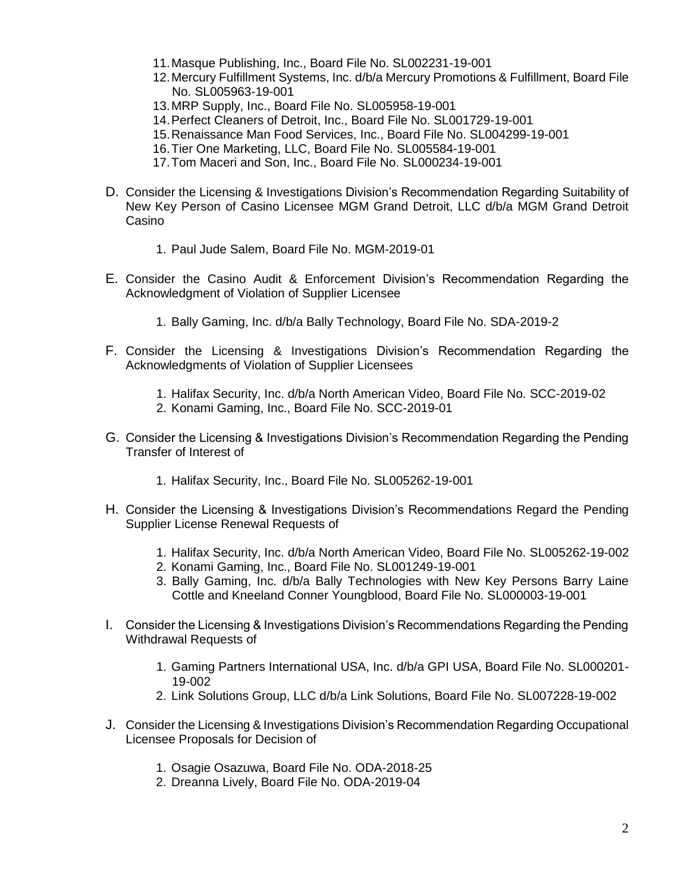- 11.Masque Publishing, Inc., Board File No. SL002231-19-001
- 12.Mercury Fulfillment Systems, Inc. d/b/a Mercury Promotions & Fulfillment, Board File No. SL005963-19-001
- 13.MRP Supply, Inc., Board File No. SL005958-19-001
- 14.Perfect Cleaners of Detroit, Inc., Board File No. SL001729-19-001
- 15.Renaissance Man Food Services, Inc., Board File No. SL004299-19-001
- 16.Tier One Marketing, LLC, Board File No. SL005584-19-001
- 17.Tom Maceri and Son, Inc., Board File No. SL000234-19-001
- D. Consider the Licensing & Investigations Division's Recommendation Regarding Suitability of New Key Person of Casino Licensee MGM Grand Detroit, LLC d/b/a MGM Grand Detroit Casino
	- 1. Paul Jude Salem, Board File No. MGM-2019-01
- E. Consider the Casino Audit & Enforcement Division's Recommendation Regarding the Acknowledgment of Violation of Supplier Licensee
	- 1. Bally Gaming, Inc. d/b/a Bally Technology, Board File No. SDA-2019-2
- F. Consider the Licensing & Investigations Division's Recommendation Regarding the Acknowledgments of Violation of Supplier Licensees
	- 1. Halifax Security, Inc. d/b/a North American Video, Board File No. SCC-2019-02
	- 2. Konami Gaming, Inc., Board File No. SCC-2019-01
- G. Consider the Licensing & Investigations Division's Recommendation Regarding the Pending Transfer of Interest of
	- 1. Halifax Security, Inc., Board File No. SL005262-19-001
- H. Consider the Licensing & Investigations Division's Recommendations Regard the Pending Supplier License Renewal Requests of
	- 1. Halifax Security, Inc. d/b/a North American Video, Board File No. SL005262-19-002
	- 2. Konami Gaming, Inc., Board File No. SL001249-19-001
	- 3. Bally Gaming, Inc. d/b/a Bally Technologies with New Key Persons Barry Laine Cottle and Kneeland Conner Youngblood, Board File No. SL000003-19-001
- I. Consider the Licensing & Investigations Division's Recommendations Regarding the Pending Withdrawal Requests of
	- 1. Gaming Partners International USA, Inc. d/b/a GPI USA, Board File No. SL000201- 19-002
	- 2. Link Solutions Group, LLC d/b/a Link Solutions, Board File No. SL007228-19-002
- J. Consider the Licensing & Investigations Division's Recommendation Regarding Occupational Licensee Proposals for Decision of
	- 1. Osagie Osazuwa, Board File No. ODA-2018-25
	- 2. Dreanna Lively, Board File No. ODA-2019-04